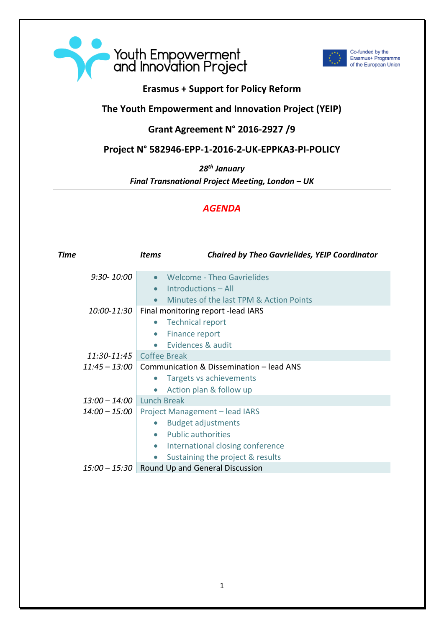



Co-funded by the<br>Erasmus+ Programme of the European Union

## **Erasmus + Support for Policy Reform**

## **The Youth Empowerment and Innovation Project (YEIP)**

## **Grant Agreement N° 2016-2927 /9**

## **Project N° 582946-EPP-1-2016-2-UK-EPPKA3-PI-POLICY**

*28th January*

*Final Transnational Project Meeting, London – UK*

## *AGENDA*

| Time            | <i>Items</i>                                    | <b>Chaired by Theo Gavrielides, YEIP Coordinator</b> |
|-----------------|-------------------------------------------------|------------------------------------------------------|
| $9:30 - 10:00$  |                                                 | <b>Welcome - Theo Gavrielides</b>                    |
|                 |                                                 | Introductions - All                                  |
|                 |                                                 | Minutes of the last TPM & Action Points              |
| 10:00-11:30     | Final monitoring report - lead IARS             |                                                      |
|                 | <b>Technical report</b>                         |                                                      |
|                 | Finance report                                  |                                                      |
|                 |                                                 | Evidences & audit                                    |
| 11:30-11:45     | <b>Coffee Break</b>                             |                                                      |
| $11:45 - 13:00$ | Communication & Dissemination - lead ANS        |                                                      |
|                 |                                                 | Targets vs achievements                              |
|                 |                                                 | Action plan & follow up                              |
| $13:00 - 14:00$ | <b>Lunch Break</b>                              |                                                      |
| $14:00 - 15:00$ | Project Management - lead IARS                  |                                                      |
|                 |                                                 | <b>Budget adjustments</b>                            |
|                 |                                                 | <b>Public authorities</b>                            |
|                 |                                                 | International closing conference                     |
|                 |                                                 | Sustaining the project & results                     |
|                 | $15:00 - 15:30$ Round Up and General Discussion |                                                      |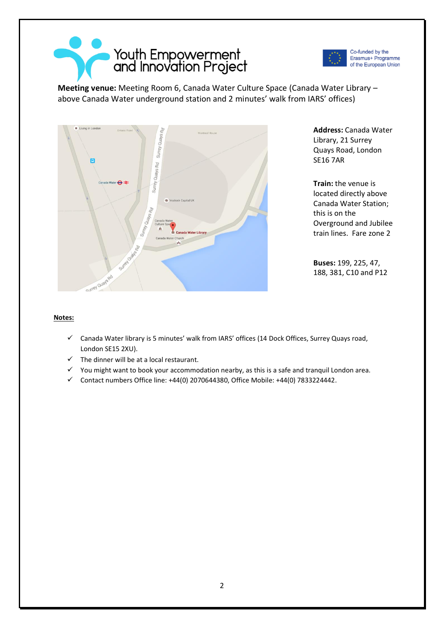



Co-funded by the Erasmus+ Programme of the European Union

**Meeting venue:** Meeting Room 6, Canada Water Culture Space (Canada Water Library – above Canada Water underground station and 2 minutes' walk from IARS' offices)



**Address:** Canada Water Library, 21 Surrey Quays Road, London SE16 7AR

**Train:** the venue is located directly above Canada Water Station; this is on the Overground and Jubilee train lines. Fare zone 2

**Buses:** 199, 225, 47, 188, 381, C10 and P12

#### **Notes:**

- ✓ Canada Water library is 5 minutes' walk from IARS' offices (14 Dock Offices, Surrey Quays road, London SE15 2XU).
- $\checkmark$  The dinner will be at a local restaurant.
- ✓ You might want to book your accommodation nearby, as this is a safe and tranquil London area.
- ✓ Contact numbers Office line: +44(0) 2070644380, Office Mobile: +44(0) 7833224442.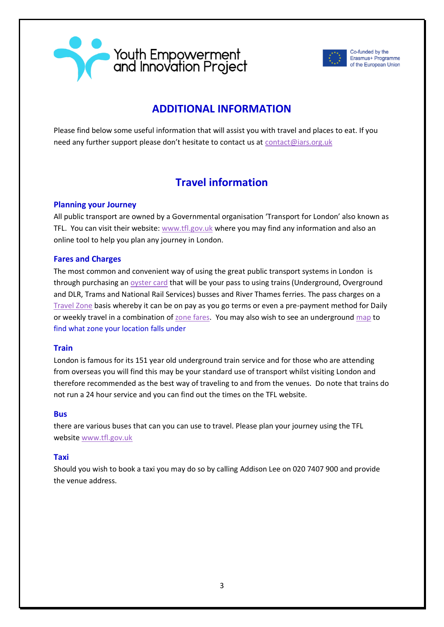



Co-funded by the Erasmus+ Programme of the European Union

## **ADDITIONAL INFORMATION**

Please find below some useful information that will assist you with travel and places to eat. If you need any further support please don't hesitate to contact us at [contact@iars.org.uk](mailto:contact@iars.org.uk)

# **Travel information**

### **Planning your Journey**

All public transport are owned by a Governmental organisation 'Transport for London' also known as TFL. You can visit their website: [www.tfl.gov.uk](http://www.tfl.gov.uk/) where you may find any information and also an online tool to help you plan any journey in London.

### **Fares and Charges**

The most common and convenient way of using the great public transport systems in London is through purchasing an [oyster card](http://visitorshop.tfl.gov.uk/help-centre/oyster-card-help.html) that will be your pass to using trains (Underground, Overground and DLR, Trams and National Rail Services) busses and River Thames ferries. The pass charges on a [Travel Zone](http://visitorshop.tfl.gov.uk/help-centre/about-travel-zones.html) basis whereby it can be on pay as you go terms or even a pre-payment method for Daily or weekly travel in a combination of [zone fares.](http://www.tfl.gov.uk/cdn/static/cms/documents/tube-dlr-lo-adult-fares-jan-2014.pdf) You may also wish to see an underground [map](mailto:Audrey%20Thomas%20PA02070714104athomas2@gibsondunn.com) to find what zone your location falls under

### **Train**

London is famous for its 151 year old underground train service and for those who are attending from overseas you will find this may be your standard use of transport whilst visiting London and therefore recommended as the best way of traveling to and from the venues. Do note that trains do not run a 24 hour service and you can find out the times on the TFL website.

#### **Bus**

there are various buses that can you can use to travel. Please plan your journey using the TFL website [www.tfl.gov.uk](http://www.tfl.gov.uk/)

#### **Taxi**

Should you wish to book a taxi you may do so by calling Addison Lee on 020 7407 900 and provide the venue address.